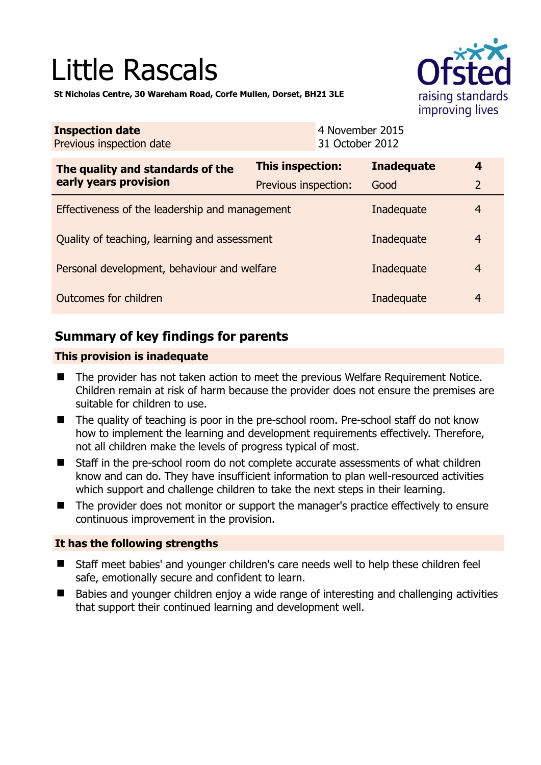# Little Rascals



**St Nicholas Centre, 30 Wareham Road, Corfe Mullen, Dorset, BH21 3LE** 

| <b>Inspection date</b><br>Previous inspection date |                         | 4 November 2015<br>31 October 2012 |                   |                  |
|----------------------------------------------------|-------------------------|------------------------------------|-------------------|------------------|
| The quality and standards of the                   | <b>This inspection:</b> |                                    | <b>Inadequate</b> | $\boldsymbol{4}$ |
| early years provision                              | Previous inspection:    |                                    | Good              | 2                |
| Effectiveness of the leadership and management     |                         |                                    | Inadequate        | $\overline{4}$   |
| Quality of teaching, learning and assessment       |                         |                                    | Inadequate        | $\overline{4}$   |
| Personal development, behaviour and welfare        |                         |                                    | Inadequate        | $\overline{4}$   |
| Outcomes for children                              |                         |                                    | Inadequate        | 4                |

## **Summary of key findings for parents**

#### **This provision is inadequate**

- The provider has not taken action to meet the previous Welfare Requirement Notice. Children remain at risk of harm because the provider does not ensure the premises are suitable for children to use.
- The quality of teaching is poor in the pre-school room. Pre-school staff do not know how to implement the learning and development requirements effectively. Therefore, not all children make the levels of progress typical of most.
- Staff in the pre-school room do not complete accurate assessments of what children know and can do. They have insufficient information to plan well-resourced activities which support and challenge children to take the next steps in their learning.
- The provider does not monitor or support the manager's practice effectively to ensure continuous improvement in the provision.

#### **It has the following strengths**

- Staff meet babies' and younger children's care needs well to help these children feel safe, emotionally secure and confident to learn.
- Babies and younger children enjoy a wide range of interesting and challenging activities that support their continued learning and development well.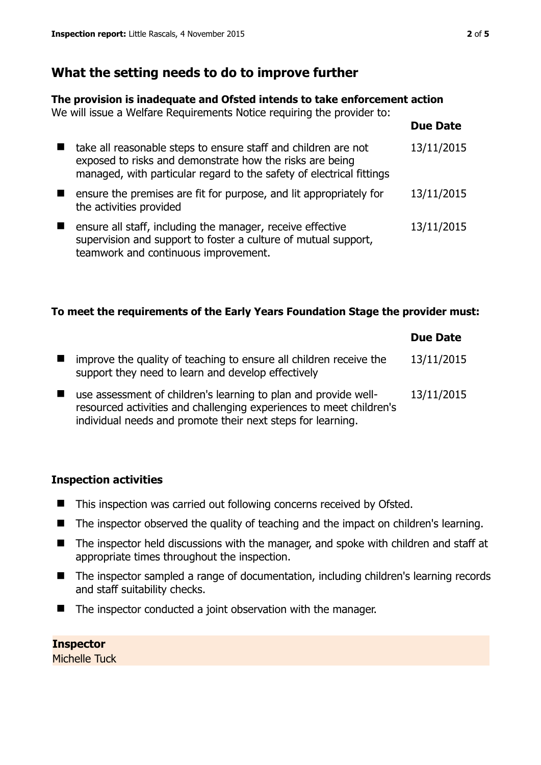# **What the setting needs to do to improve further**

#### **The provision is inadequate and Ofsted intends to take enforcement action**

We will issue a Welfare Requirements Notice requiring the provider to:

|                                                                                                                                                                                                    | <b>Due Date</b> |
|----------------------------------------------------------------------------------------------------------------------------------------------------------------------------------------------------|-----------------|
| take all reasonable steps to ensure staff and children are not<br>exposed to risks and demonstrate how the risks are being<br>managed, with particular regard to the safety of electrical fittings | 13/11/2015      |
| ensure the premises are fit for purpose, and lit appropriately for<br>the activities provided                                                                                                      | 13/11/2015      |
| ensure all staff, including the manager, receive effective<br>supervision and support to foster a culture of mutual support,<br>teamwork and continuous improvement.                               | 13/11/2015      |

## **To meet the requirements of the Early Years Foundation Stage the provider must:**

|                |                                                                                                                                                                                                       | <b>Due Date</b> |
|----------------|-------------------------------------------------------------------------------------------------------------------------------------------------------------------------------------------------------|-----------------|
| $\blacksquare$ | improve the quality of teaching to ensure all children receive the<br>support they need to learn and develop effectively                                                                              | 13/11/2015      |
| $\blacksquare$ | use assessment of children's learning to plan and provide well-<br>resourced activities and challenging experiences to meet children's<br>individual needs and promote their next steps for learning. | 13/11/2015      |

#### **Inspection activities**

- This inspection was carried out following concerns received by Ofsted.
- The inspector observed the quality of teaching and the impact on children's learning.
- The inspector held discussions with the manager, and spoke with children and staff at appropriate times throughout the inspection.
- The inspector sampled a range of documentation, including children's learning records and staff suitability checks.
- The inspector conducted a joint observation with the manager.

#### **Inspector**

Michelle Tuck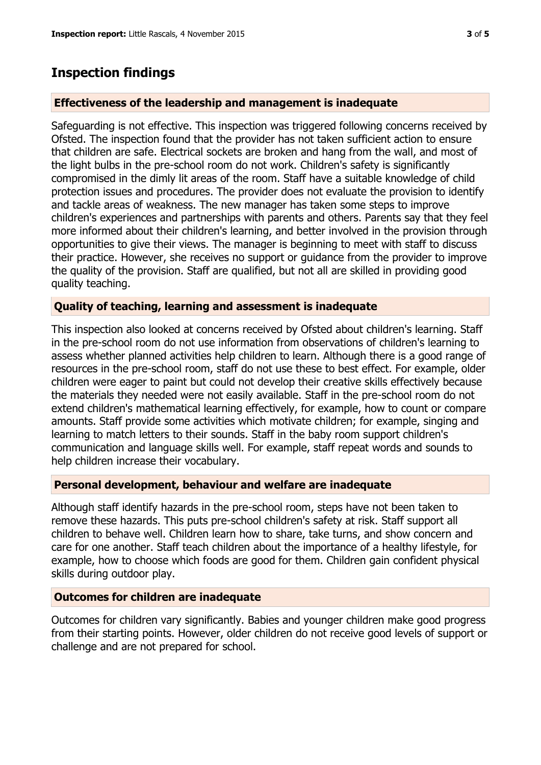## **Inspection findings**

#### **Effectiveness of the leadership and management is inadequate**

Safeguarding is not effective. This inspection was triggered following concerns received by Ofsted. The inspection found that the provider has not taken sufficient action to ensure that children are safe. Electrical sockets are broken and hang from the wall, and most of the light bulbs in the pre-school room do not work. Children's safety is significantly compromised in the dimly lit areas of the room. Staff have a suitable knowledge of child protection issues and procedures. The provider does not evaluate the provision to identify and tackle areas of weakness. The new manager has taken some steps to improve children's experiences and partnerships with parents and others. Parents say that they feel more informed about their children's learning, and better involved in the provision through opportunities to give their views. The manager is beginning to meet with staff to discuss their practice. However, she receives no support or guidance from the provider to improve the quality of the provision. Staff are qualified, but not all are skilled in providing good quality teaching.

#### **Quality of teaching, learning and assessment is inadequate**

This inspection also looked at concerns received by Ofsted about children's learning. Staff in the pre-school room do not use information from observations of children's learning to assess whether planned activities help children to learn. Although there is a good range of resources in the pre-school room, staff do not use these to best effect. For example, older children were eager to paint but could not develop their creative skills effectively because the materials they needed were not easily available. Staff in the pre-school room do not extend children's mathematical learning effectively, for example, how to count or compare amounts. Staff provide some activities which motivate children; for example, singing and learning to match letters to their sounds. Staff in the baby room support children's communication and language skills well. For example, staff repeat words and sounds to help children increase their vocabulary.

#### **Personal development, behaviour and welfare are inadequate**

Although staff identify hazards in the pre-school room, steps have not been taken to remove these hazards. This puts pre-school children's safety at risk. Staff support all children to behave well. Children learn how to share, take turns, and show concern and care for one another. Staff teach children about the importance of a healthy lifestyle, for example, how to choose which foods are good for them. Children gain confident physical skills during outdoor play.

#### **Outcomes for children are inadequate**

Outcomes for children vary significantly. Babies and younger children make good progress from their starting points. However, older children do not receive good levels of support or challenge and are not prepared for school.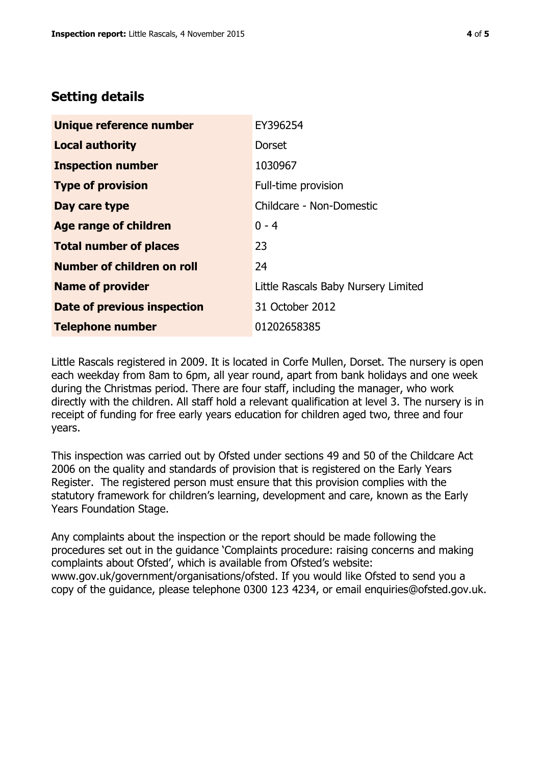## **Setting details**

| Unique reference number       | EY396254                            |
|-------------------------------|-------------------------------------|
| <b>Local authority</b>        | <b>Dorset</b>                       |
| <b>Inspection number</b>      | 1030967                             |
| <b>Type of provision</b>      | Full-time provision                 |
| Day care type                 | Childcare - Non-Domestic            |
| <b>Age range of children</b>  | $0 - 4$                             |
| <b>Total number of places</b> | 23                                  |
| Number of children on roll    | 24                                  |
| <b>Name of provider</b>       | Little Rascals Baby Nursery Limited |
| Date of previous inspection   | 31 October 2012                     |
| <b>Telephone number</b>       | 01202658385                         |

Little Rascals registered in 2009. It is located in Corfe Mullen, Dorset. The nursery is open each weekday from 8am to 6pm, all year round, apart from bank holidays and one week during the Christmas period. There are four staff, including the manager, who work directly with the children. All staff hold a relevant qualification at level 3. The nursery is in receipt of funding for free early years education for children aged two, three and four years.

This inspection was carried out by Ofsted under sections 49 and 50 of the Childcare Act 2006 on the quality and standards of provision that is registered on the Early Years Register. The registered person must ensure that this provision complies with the statutory framework for children's learning, development and care, known as the Early Years Foundation Stage.

Any complaints about the inspection or the report should be made following the procedures set out in the guidance 'Complaints procedure: raising concerns and making complaints about Ofsted', which is available from Ofsted's website: www.gov.uk/government/organisations/ofsted. If you would like Ofsted to send you a copy of the guidance, please telephone 0300 123 4234, or email enquiries@ofsted.gov.uk.